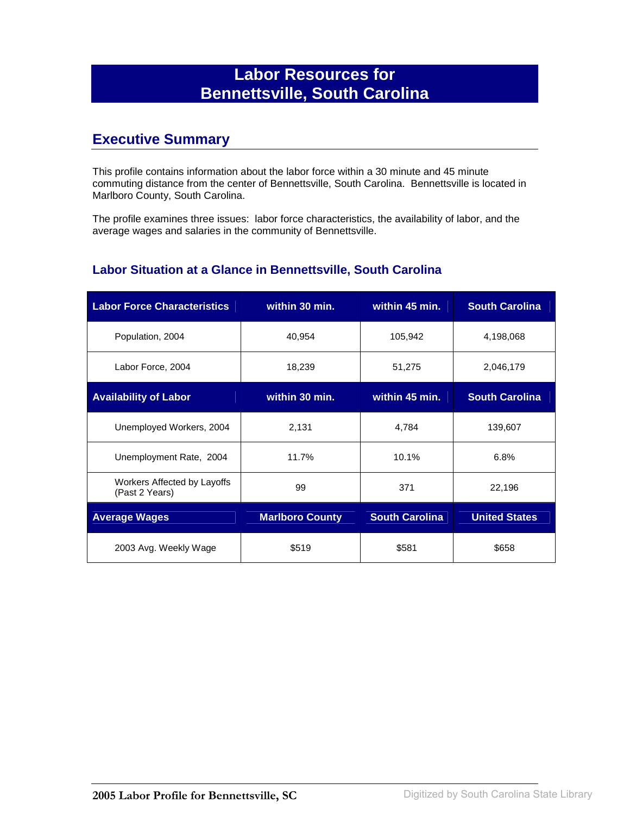## **Labor Resources for Bennettsville, South Carolina**

### **Executive Summary**

This profile contains information about the labor force within a 30 minute and 45 minute commuting distance from the center of Bennettsville, South Carolina. Bennettsville is located in Marlboro County, South Carolina.

The profile examines three issues: labor force characteristics, the availability of labor, and the average wages and salaries in the community of Bennettsville.

#### **Labor Situation at a Glance in Bennettsville, South Carolina**

| <b>Labor Force Characteristics</b>            | within 30 min.         | within 45 min.        | <b>South Carolina</b> |
|-----------------------------------------------|------------------------|-----------------------|-----------------------|
| Population, 2004                              | 40,954                 | 105,942               | 4,198,068             |
| Labor Force, 2004                             | 18,239                 | 51,275                | 2,046,179             |
| <b>Availability of Labor</b>                  | within 30 min.         | within 45 min.        | <b>South Carolina</b> |
| Unemployed Workers, 2004                      | 2,131                  | 4,784                 | 139,607               |
| Unemployment Rate, 2004                       | 11.7%                  | 10.1%                 | 6.8%                  |
| Workers Affected by Layoffs<br>(Past 2 Years) | 99                     | 371                   | 22,196                |
| <b>Average Wages</b>                          | <b>Marlboro County</b> | <b>South Carolina</b> | <b>United States</b>  |
| 2003 Avg. Weekly Wage                         | \$519                  | \$581                 | \$658                 |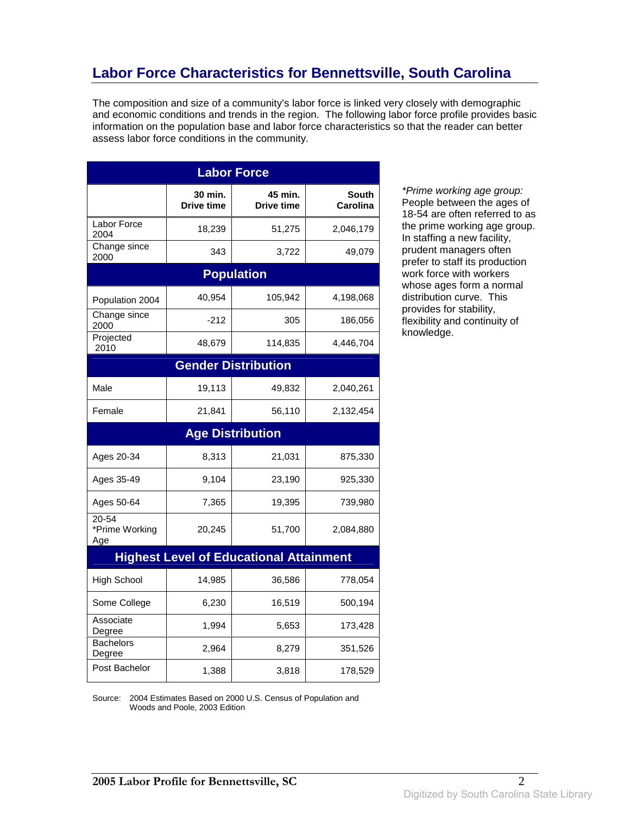## **Labor Force Characteristics for Bennettsville, South Carolina**

The composition and size of a community's labor force is linked very closely with demographic and economic conditions and trends in the region. The following labor force profile provides basic information on the population base and labor force characteristics so that the reader can better assess labor force conditions in the community.

| <b>Labor Force</b>                 |                              |                                                |                          |
|------------------------------------|------------------------------|------------------------------------------------|--------------------------|
|                                    | 30 min.<br><b>Drive time</b> | 45 min.<br><b>Drive time</b>                   | <b>South</b><br>Carolina |
| Labor Force<br>2004                | 18,239                       | 51,275                                         | 2,046,179                |
| Change since<br>2000               | 343                          | 3,722                                          | 49,079                   |
|                                    |                              | <b>Population</b>                              |                          |
| Population 2004                    | 40,954                       | 105,942                                        | 4,198,068                |
| Change since<br>2000               | $-212$                       | 305                                            | 186,056                  |
| Projected<br>2010                  | 48,679                       | 114,835                                        | 4,446,704                |
|                                    |                              | <b>Gender Distribution</b>                     |                          |
| Male                               | 19,113                       | 49,832                                         | 2,040,261                |
| Female                             | 21,841                       | 56,110                                         | 2,132,454                |
|                                    |                              | <b>Age Distribution</b>                        |                          |
| Ages 20-34                         | 8,313                        | 21,031                                         | 875,330                  |
| Ages 35-49                         | 9,104                        | 23,190                                         | 925,330                  |
| Ages 50-64                         | 7,365                        | 19,395                                         | 739,980                  |
| $20 - 54$<br>*Prime Working<br>Age | 20,245                       | 51,700                                         | 2,084,880                |
|                                    |                              | <b>Highest Level of Educational Attainment</b> |                          |
| <b>High School</b>                 | 14,985                       | 36,586                                         | 778,054                  |
| Some College                       | 6,230                        | 16,519                                         | 500,194                  |
| Associate<br>Degree                | 1,994                        | 5,653                                          | 173,428                  |
| <b>Bachelors</b><br>Degree         | 2,964                        | 8,279                                          | 351,526                  |
| Post Bachelor                      | 1,388                        | 3,818                                          | 178,529                  |

\*Prime working age group: People between the ages of 18-54 are often referred to as the prime working age group. In staffing a new facility, prudent managers often prefer to staff its production work force with workers whose ages form a normal distribution curve. This provides for stability, flexibility and continuity of knowledge.

Source: 2004 Estimates Based on 2000 U.S. Census of Population and Woods and Poole, 2003 Edition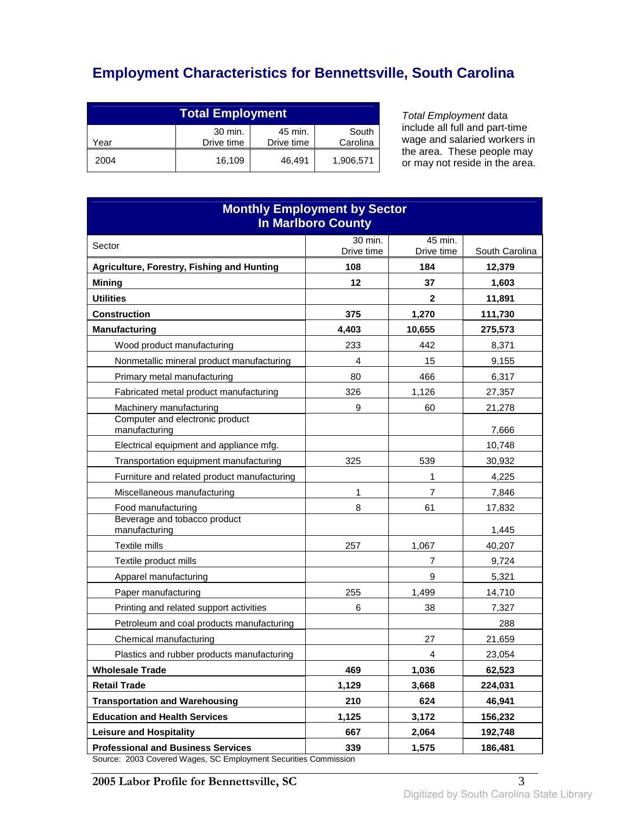# **Employment Characteristics for Bennettsville, South Carolina**

| <b>Total Employment</b>                                                     |        |        |           |
|-----------------------------------------------------------------------------|--------|--------|-----------|
| 30 min.<br>45 min.<br>South<br>Carolina<br>Drive time<br>Drive time<br>Year |        |        |           |
| 2004                                                                        | 16.109 | 46.491 | 1,906,571 |

Total Employment data include all full and part-time wage and salaried workers in the area. These people may or may not reside in the area.

| <b>Monthly Employment by Sector</b><br><b>In Marlboro County</b>                   |            |            |                |
|------------------------------------------------------------------------------------|------------|------------|----------------|
| Sector                                                                             | 30 min.    | 45 min.    |                |
|                                                                                    | Drive time | Drive time | South Carolina |
| Agriculture, Forestry, Fishing and Hunting                                         | 108        | 184        | 12,379         |
| <b>Mining</b>                                                                      | 12         | 37         | 1,603          |
| <b>Utilities</b>                                                                   |            | 2          | 11,891         |
| <b>Construction</b>                                                                | 375        | 1,270      | 111,730        |
| <b>Manufacturing</b>                                                               | 4,403      | 10,655     | 275,573        |
| Wood product manufacturing                                                         | 233        | 442        | 8,371          |
| Nonmetallic mineral product manufacturing                                          | 4          | 15         | 9,155          |
| Primary metal manufacturing                                                        | 80         | 466        | 6,317          |
| Fabricated metal product manufacturing                                             | 326        | 1,126      | 27,357         |
| Machinery manufacturing                                                            | 9          | 60         | 21,278         |
| Computer and electronic product<br>manufacturing                                   |            |            | 7,666          |
| Electrical equipment and appliance mfg.                                            |            |            | 10,748         |
| Transportation equipment manufacturing                                             | 325        | 539        | 30,932         |
| Furniture and related product manufacturing                                        |            | 1          | 4,225          |
| Miscellaneous manufacturing                                                        | 1          | 7          | 7,846          |
| Food manufacturing                                                                 | 8          | 61         | 17,832         |
| Beverage and tobacco product<br>manufacturing                                      |            |            | 1,445          |
| Textile mills                                                                      | 257        | 1,067      | 40,207         |
| Textile product mills                                                              |            | 7          | 9,724          |
| Apparel manufacturing                                                              |            | 9          | 5,321          |
| Paper manufacturing                                                                | 255        | 1,499      | 14,710         |
| Printing and related support activities                                            | 6          | 38         | 7,327          |
| Petroleum and coal products manufacturing                                          |            |            | 288            |
| Chemical manufacturing                                                             |            | 27         | 21,659         |
| Plastics and rubber products manufacturing                                         |            | 4          | 23,054         |
| <b>Wholesale Trade</b>                                                             | 469        | 1,036      | 62,523         |
| <b>Retail Trade</b>                                                                | 1,129      | 3,668      | 224,031        |
| <b>Transportation and Warehousing</b>                                              | 210        | 624        | 46,941         |
| <b>Education and Health Services</b>                                               | 1,125      | 3,172      | 156,232        |
| <b>Leisure and Hospitality</b>                                                     | 667        | 2,064      | 192,748        |
| <b>Professional and Business Services</b><br>2002 Covered Wesse CC Employment Coor | 339        | 1,575      | 186,481        |

Source: 2003 Covered Wages, SC Employment Securities Commission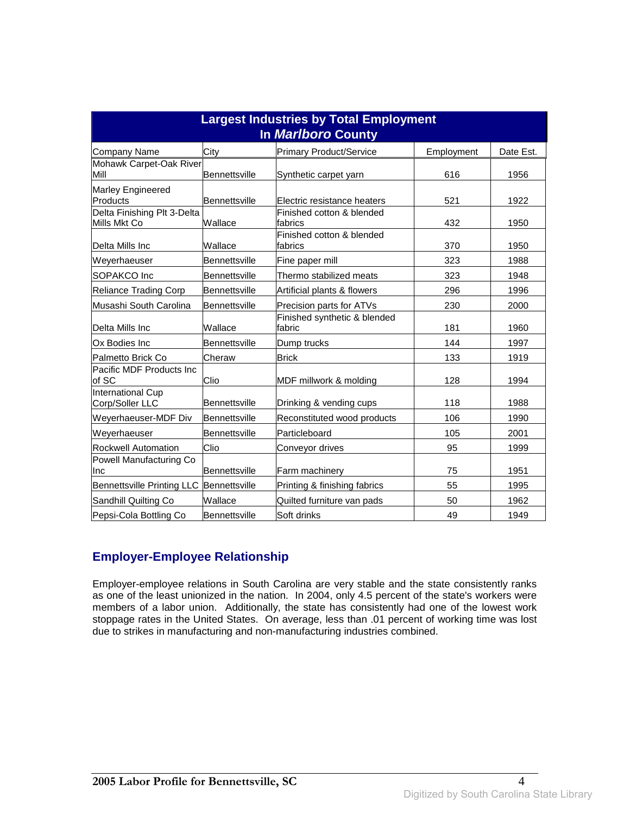| <b>Largest Industries by Total Employment</b><br>In Marlboro County |                      |                                        |            |           |
|---------------------------------------------------------------------|----------------------|----------------------------------------|------------|-----------|
| Company Name                                                        | City                 | Primary Product/Service                | Employment | Date Est. |
| Mohawk Carpet-Oak River<br>Mill                                     | <b>Bennettsville</b> | Synthetic carpet yarn                  | 616        | 1956      |
| Marley Engineered<br>Products                                       | Bennettsville        | <b>IElectric resistance heaters</b>    | 521        | 1922      |
| Delta Finishing Plt 3-Delta<br>Mills Mkt Co                         | Wallace              | Finished cotton & blended<br>fabrics   | 432        | 1950      |
| Delta Mills Inc                                                     | Wallace              | Finished cotton & blended<br>fabrics   | 370        | 1950      |
| Weyerhaeuser                                                        | Bennettsville        | Fine paper mill                        | 323        | 1988      |
| SOPAKCO Inc                                                         | Bennettsville        | Thermo stabilized meats                | 323        | 1948      |
| Reliance Trading Corp                                               | Bennettsville        | Artificial plants & flowers            | 296        | 1996      |
| Musashi South Carolina                                              | Bennettsville        | Precision parts for ATVs               | 230        | 2000      |
| Delta Mills Inc                                                     | Wallace              | Finished synthetic & blended<br>fabric | 181        | 1960      |
| Ox Bodies Inc                                                       | <b>Bennettsville</b> | Dump trucks                            | 144        | 1997      |
| Palmetto Brick Co                                                   | Cheraw               | <b>Brick</b>                           | 133        | 1919      |
| Pacific MDF Products Inc.<br>of SC                                  | Clio                 | MDF millwork & molding                 | 128        | 1994      |
| International Cup<br>Corp/Soller LLC                                | Bennettsville        | Drinking & vending cups                | 118        | 1988      |
| Weyerhaeuser-MDF Div                                                | Bennettsville        | Reconstituted wood products            | 106        | 1990      |
| Weverhaeuser                                                        | <b>Bennettsville</b> | Particleboard                          | 105        | 2001      |
| <b>Rockwell Automation</b>                                          | Clio                 | Conveyor drives                        | 95         | 1999      |
| Powell Manufacturing Co<br><b>Inc</b>                               | Bennettsville        | <b>Farm machinery</b>                  | 75         | 1951      |
| Bennettsville Printing LLC                                          | Bennettsville        | Printing & finishing fabrics           | 55         | 1995      |
| Sandhill Quilting Co                                                | Wallace              | Quilted furniture van pads             | 50         | 1962      |
| Pepsi-Cola Bottling Co                                              | Bennettsville        | Soft drinks                            | 49         | 1949      |

#### **Employer-Employee Relationship**

Employer-employee relations in South Carolina are very stable and the state consistently ranks as one of the least unionized in the nation. In 2004, only 4.5 percent of the state's workers were members of a labor union. Additionally, the state has consistently had one of the lowest work stoppage rates in the United States. On average, less than .01 percent of working time was lost due to strikes in manufacturing and non-manufacturing industries combined.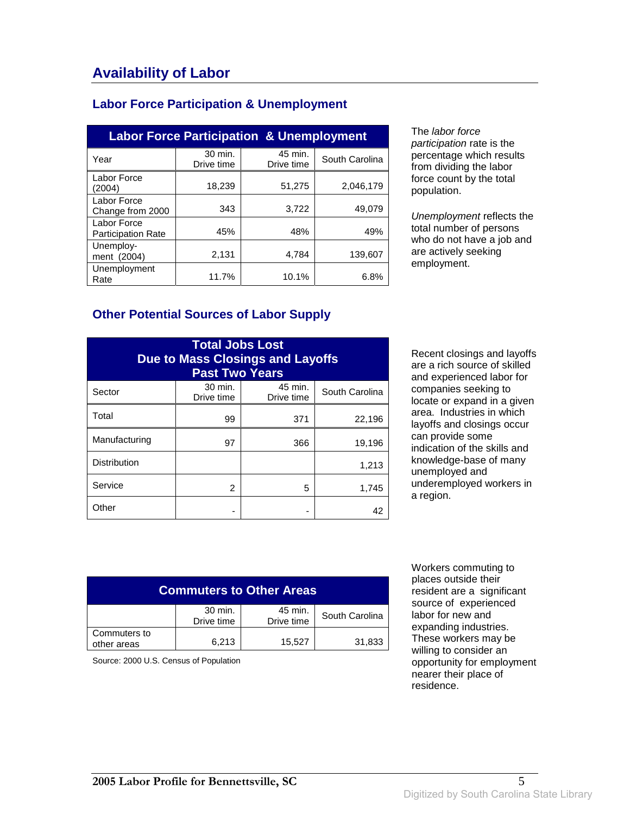#### **Labor Force Participation & Unemployment**

| <b>Labor Force Participation &amp; Unemployment</b> |                       |                       |                |  |
|-----------------------------------------------------|-----------------------|-----------------------|----------------|--|
| Year                                                | 30 min.<br>Drive time | 45 min.<br>Drive time | South Carolina |  |
| Labor Force<br>(2004)                               | 18,239                | 51,275                | 2,046,179      |  |
| Labor Force<br>Change from 2000                     | 343                   | 3,722                 | 49,079         |  |
| Labor Force<br><b>Participation Rate</b>            | 45%                   | 48%                   | 49%            |  |
| Unemploy-<br>ment (2004)                            | 2,131                 | 4.784                 | 139,607        |  |
| Unemployment<br>Rate                                | 11.7%                 | 10.1%                 | 6.8%           |  |

The labor force participation rate is the percentage which results from dividing the labor force count by the total population.

Unemployment reflects the total number of persons who do not have a job and are actively seeking employment.

#### **Other Potential Sources of Labor Supply**

| <b>Total Jobs Lost</b><br><b>Due to Mass Closings and Layoffs</b><br><b>Past Two Years</b> |                       |                       |                |
|--------------------------------------------------------------------------------------------|-----------------------|-----------------------|----------------|
| Sector                                                                                     | 30 min.<br>Drive time | 45 min.<br>Drive time | South Carolina |
| Total                                                                                      | 99                    | 371                   | 22,196         |
| Manufacturing                                                                              | 97                    | 366                   | 19,196         |
| <b>Distribution</b>                                                                        |                       |                       | 1,213          |
| Service                                                                                    | 2                     | 5                     | 1,745          |
| Other                                                                                      |                       |                       | 42             |

Recent closings and layoffs are a rich source of skilled and experienced labor for companies seeking to locate or expand in a given area. Industries in which layoffs and closings occur can provide some indication of the skills and knowledge-base of many unemployed and underemployed workers in a region.

| <b>Commuters to Other Areas</b> |                       |                       |                |
|---------------------------------|-----------------------|-----------------------|----------------|
|                                 | 30 min.<br>Drive time | 45 min.<br>Drive time | South Carolina |
| Commuters to<br>other areas     | 6.213                 | 15,527                | 31,833         |

Source: 2000 U.S. Census of Population

 Workers commuting to places outside their resident are a significant source of experienced labor for new and expanding industries. These workers may be willing to consider an opportunity for employment nearer their place of residence.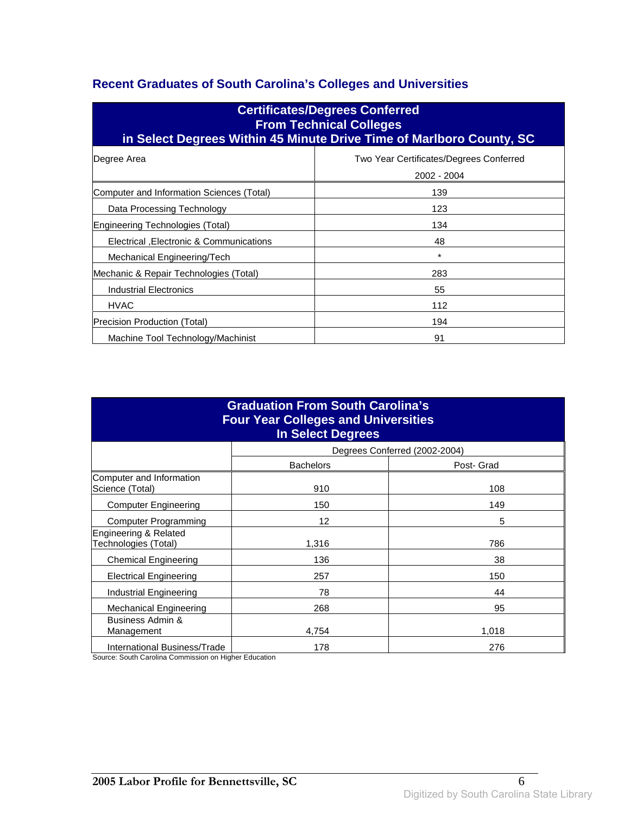#### **Recent Graduates of South Carolina's Colleges and Universities**

| <b>Certificates/Degrees Conferred</b><br><b>From Technical Colleges</b><br>in Select Degrees Within 45 Minute Drive Time of Marlboro County, SC |                                                        |  |
|-------------------------------------------------------------------------------------------------------------------------------------------------|--------------------------------------------------------|--|
| Degree Area                                                                                                                                     | Two Year Certificates/Degrees Conferred<br>2002 - 2004 |  |
| Computer and Information Sciences (Total)                                                                                                       | 139                                                    |  |
| Data Processing Technology                                                                                                                      | 123                                                    |  |
| Engineering Technologies (Total)                                                                                                                | 134                                                    |  |
| Electrical , Electronic & Communications                                                                                                        | 48                                                     |  |
| Mechanical Engineering/Tech                                                                                                                     | $\star$                                                |  |
| Mechanic & Repair Technologies (Total)                                                                                                          | 283                                                    |  |
| <b>Industrial Electronics</b>                                                                                                                   | 55                                                     |  |
| <b>HVAC</b>                                                                                                                                     | 112                                                    |  |
| Precision Production (Total)                                                                                                                    | 194                                                    |  |
| Machine Tool Technology/Machinist                                                                                                               | 91                                                     |  |

| <b>Graduation From South Carolina's</b><br><b>Four Year Colleges and Universities</b><br><b>In Select Degrees</b> |                  |                               |  |
|-------------------------------------------------------------------------------------------------------------------|------------------|-------------------------------|--|
|                                                                                                                   |                  | Degrees Conferred (2002-2004) |  |
|                                                                                                                   | <b>Bachelors</b> | Post- Grad                    |  |
| Computer and Information<br>Science (Total)                                                                       | 910              | 108                           |  |
| <b>Computer Engineering</b>                                                                                       | 150              | 149                           |  |
| <b>Computer Programming</b>                                                                                       | 12               | 5                             |  |
| Engineering & Related<br>Technologies (Total)                                                                     | 1,316            | 786                           |  |
| <b>Chemical Engineering</b>                                                                                       | 136              | 38                            |  |
| <b>Electrical Engineering</b>                                                                                     | 257              | 150                           |  |
| Industrial Engineering                                                                                            | 78               | 44                            |  |
| Mechanical Engineering                                                                                            | 268              | 95                            |  |
| Business Admin &<br>Management                                                                                    | 4,754            | 1,018                         |  |
| International Business/Trade                                                                                      | 178              | 276                           |  |

Source: South Carolina Commission on Higher Education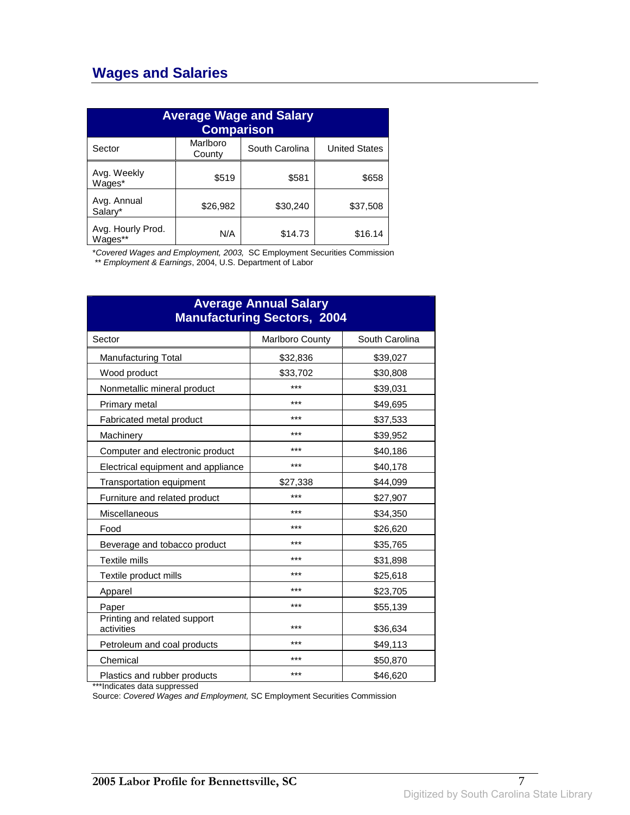### **Wages and Salaries**

| <b>Average Wage and Salary</b><br><b>Comparison</b> |                    |                |                      |
|-----------------------------------------------------|--------------------|----------------|----------------------|
| Sector                                              | Marlboro<br>County | South Carolina | <b>United States</b> |
| Avg. Weekly<br>Wages*                               | \$519              | \$581          | \$658                |
| Avg. Annual<br>Salary*                              | \$26,982           | \$30,240       | \$37,508             |
| Avg. Hourly Prod.<br>Wages**                        | N/A                | \$14.73        | \$16.14              |

\*Covered Wages and Employment, 2003, SC Employment Securities Commission

\*\* Employment & Earnings, 2004, U.S. Department of Labor

| <b>Average Annual Salary</b><br><b>Manufacturing Sectors, 2004</b> |                        |                |  |
|--------------------------------------------------------------------|------------------------|----------------|--|
| Sector                                                             | <b>Marlboro County</b> | South Carolina |  |
| <b>Manufacturing Total</b>                                         | \$32,836               | \$39,027       |  |
| Wood product                                                       | \$33,702               | \$30,808       |  |
| Nonmetallic mineral product                                        | ***                    | \$39,031       |  |
| Primary metal                                                      | ***                    | \$49,695       |  |
| Fabricated metal product                                           | ***                    | \$37,533       |  |
| Machinery                                                          | ***                    | \$39,952       |  |
| Computer and electronic product                                    | ***                    | \$40,186       |  |
| Electrical equipment and appliance                                 | ***                    | \$40,178       |  |
| Transportation equipment                                           | \$27,338               | \$44,099       |  |
| Furniture and related product                                      | ***                    | \$27,907       |  |
| Miscellaneous                                                      | ***                    | \$34,350       |  |
| Food                                                               | ***                    | \$26,620       |  |
| Beverage and tobacco product                                       | ***                    | \$35,765       |  |
| Textile mills                                                      | ***                    | \$31,898       |  |
| Textile product mills                                              | ***                    | \$25,618       |  |
| Apparel                                                            | ***                    | \$23,705       |  |
| Paper                                                              | ***                    | \$55,139       |  |
| Printing and related support<br>activities                         | ***                    | \$36,634       |  |
| Petroleum and coal products                                        | ***                    | \$49,113       |  |
| Chemical                                                           | ***                    | \$50,870       |  |
| Plastics and rubber products                                       | ***                    | \$46,620       |  |

\*\*\*Indicates data suppressed

Source: Covered Wages and Employment, SC Employment Securities Commission